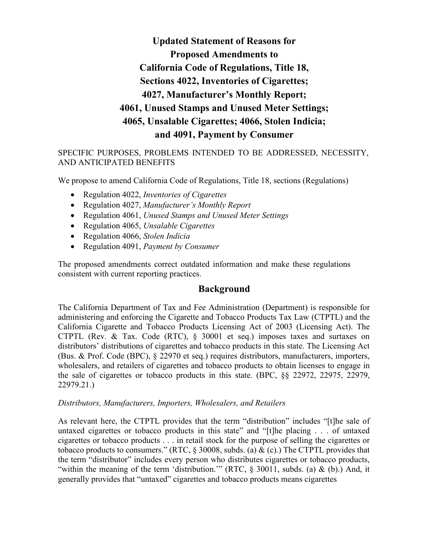**Updated Statement of Reasons for Proposed Amendments to California Code of Regulations, Title 18, Sections 4022, Inventories of Cigarettes; 4027, Manufacturer's Monthly Report; 4061, Unused Stamps and Unused Meter Settings; 4065, Unsalable Cigarettes; 4066, Stolen Indicia; and 4091, Payment by Consumer**

# SPECIFIC PURPOSES, PROBLEMS INTENDED TO BE ADDRESSED, NECESSITY, AND ANTICIPATED BENEFITS

We propose to amend California Code of Regulations, Title 18, sections (Regulations)

- Regulation 4022, *Inventories of Cigarettes*
- Regulation 4027, *Manufacturer's Monthly Report*
- Regulation 4061, *Unused Stamps and Unused Meter Settings*
- Regulation 4065, *Unsalable Cigarettes*
- Regulation 4066, *Stolen Indicia*
- Regulation 4091, *Payment by Consumer*

The proposed amendments correct outdated information and make these regulations consistent with current reporting practices.

# **Background**

The California Department of Tax and Fee Administration (Department) is responsible for administering and enforcing the Cigarette and Tobacco Products Tax Law (CTPTL) and the California Cigarette and Tobacco Products Licensing Act of 2003 (Licensing Act). The CTPTL (Rev. & Tax. Code (RTC), § 30001 et seq.) imposes taxes and surtaxes on distributors' distributions of cigarettes and tobacco products in this state. The Licensing Act (Bus. & Prof. Code (BPC), § 22970 et seq.) requires distributors, manufacturers, importers, wholesalers, and retailers of cigarettes and tobacco products to obtain licenses to engage in the sale of cigarettes or tobacco products in this state. (BPC, §§ 22972, 22975, 22979, 22979.21.)

### *Distributors, Manufacturers, Importers, Wholesalers, and Retailers*

As relevant here, the CTPTL provides that the term "distribution" includes "[t]he sale of untaxed cigarettes or tobacco products in this state" and "[t]he placing . . . of untaxed cigarettes or tobacco products . . . in retail stock for the purpose of selling the cigarettes or tobacco products to consumers." (RTC,  $\S$  30008, subds. (a) & (c).) The CTPTL provides that the term "distributor" includes every person who distributes cigarettes or tobacco products, "within the meaning of the term 'distribution."" (RTC, § 30011, subds. (a) & (b).) And, it generally provides that "untaxed" cigarettes and tobacco products means cigarettes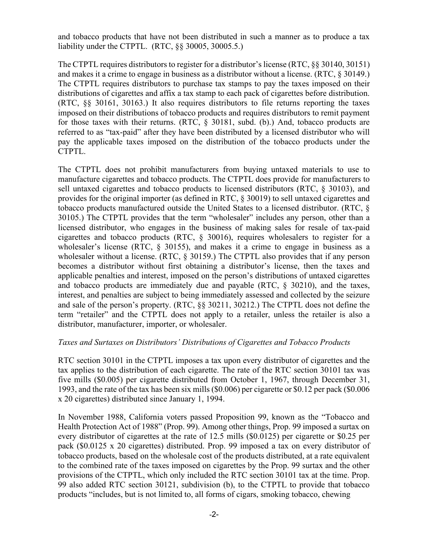and tobacco products that have not been distributed in such a manner as to produce a tax liability under the CTPTL. (RTC, §§ 30005, 30005.5.)

The CTPTL requires distributors to register for a distributor's license (RTC, §§ 30140, 30151) and makes it a crime to engage in business as a distributor without a license. (RTC, § 30149.) The CTPTL requires distributors to purchase tax stamps to pay the taxes imposed on their distributions of cigarettes and affix a tax stamp to each pack of cigarettes before distribution. (RTC, §§ 30161, 30163.) It also requires distributors to file returns reporting the taxes imposed on their distributions of tobacco products and requires distributors to remit payment for those taxes with their returns. (RTC, § 30181, subd. (b).) And, tobacco products are referred to as "tax-paid" after they have been distributed by a licensed distributor who will pay the applicable taxes imposed on the distribution of the tobacco products under the CTPTL.

The CTPTL does not prohibit manufacturers from buying untaxed materials to use to manufacture cigarettes and tobacco products. The CTPTL does provide for manufacturers to sell untaxed cigarettes and tobacco products to licensed distributors (RTC, § 30103), and provides for the original importer (as defined in RTC, § 30019) to sell untaxed cigarettes and tobacco products manufactured outside the United States to a licensed distributor. (RTC, § 30105.) The CTPTL provides that the term "wholesaler" includes any person, other than a licensed distributor, who engages in the business of making sales for resale of tax-paid cigarettes and tobacco products (RTC, § 30016), requires wholesalers to register for a wholesaler's license (RTC, § 30155), and makes it a crime to engage in business as a wholesaler without a license. (RTC, § 30159.) The CTPTL also provides that if any person becomes a distributor without first obtaining a distributor's license, then the taxes and applicable penalties and interest, imposed on the person's distributions of untaxed cigarettes and tobacco products are immediately due and payable (RTC, § 30210), and the taxes, interest, and penalties are subject to being immediately assessed and collected by the seizure and sale of the person's property. (RTC, §§ 30211, 30212.) The CTPTL does not define the term "retailer" and the CTPTL does not apply to a retailer, unless the retailer is also a distributor, manufacturer, importer, or wholesaler.

### *Taxes and Surtaxes on Distributors' Distributions of Cigarettes and Tobacco Products*

RTC section 30101 in the CTPTL imposes a tax upon every distributor of cigarettes and the tax applies to the distribution of each cigarette. The rate of the RTC section 30101 tax was five mills (\$0.005) per cigarette distributed from October 1, 1967, through December 31, 1993, and the rate of the tax has been six mills (\$0.006) per cigarette or \$0.12 per pack (\$0.006 x 20 cigarettes) distributed since January 1, 1994.

In November 1988, California voters passed Proposition 99, known as the "Tobacco and Health Protection Act of 1988" (Prop. 99). Among other things, Prop. 99 imposed a surtax on every distributor of cigarettes at the rate of 12.5 mills (\$0.0125) per cigarette or \$0.25 per pack (\$0.0125 x 20 cigarettes) distributed. Prop. 99 imposed a tax on every distributor of tobacco products, based on the wholesale cost of the products distributed, at a rate equivalent to the combined rate of the taxes imposed on cigarettes by the Prop. 99 surtax and the other provisions of the CTPTL, which only included the RTC section 30101 tax at the time. Prop. 99 also added RTC section 30121, subdivision (b), to the CTPTL to provide that tobacco products "includes, but is not limited to, all forms of cigars, smoking tobacco, chewing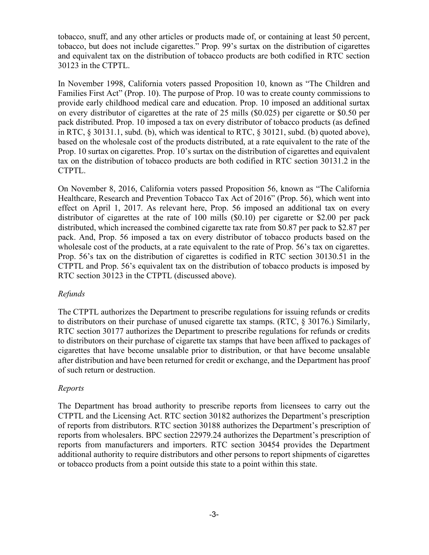tobacco, snuff, and any other articles or products made of, or containing at least 50 percent, tobacco, but does not include cigarettes." Prop. 99's surtax on the distribution of cigarettes and equivalent tax on the distribution of tobacco products are both codified in RTC section 30123 in the CTPTL.

In November 1998, California voters passed Proposition 10, known as "The Children and Families First Act" (Prop. 10). The purpose of Prop. 10 was to create county commissions to provide early childhood medical care and education. Prop. 10 imposed an additional surtax on every distributor of cigarettes at the rate of 25 mills (\$0.025) per cigarette or \$0.50 per pack distributed. Prop. 10 imposed a tax on every distributor of tobacco products (as defined in RTC, § 30131.1, subd. (b), which was identical to RTC, § 30121, subd. (b) quoted above), based on the wholesale cost of the products distributed, at a rate equivalent to the rate of the Prop. 10 surtax on cigarettes. Prop. 10's surtax on the distribution of cigarettes and equivalent tax on the distribution of tobacco products are both codified in RTC section 30131.2 in the CTPTL.

On November 8, 2016, California voters passed Proposition 56, known as "The California Healthcare, Research and Prevention Tobacco Tax Act of 2016" (Prop. 56), which went into effect on April 1, 2017. As relevant here, Prop. 56 imposed an additional tax on every distributor of cigarettes at the rate of 100 mills (\$0.10) per cigarette or \$2.00 per pack distributed, which increased the combined cigarette tax rate from \$0.87 per pack to \$2.87 per pack. And, Prop. 56 imposed a tax on every distributor of tobacco products based on the wholesale cost of the products, at a rate equivalent to the rate of Prop. 56's tax on cigarettes. Prop. 56's tax on the distribution of cigarettes is codified in RTC section 30130.51 in the CTPTL and Prop. 56's equivalent tax on the distribution of tobacco products is imposed by RTC section 30123 in the CTPTL (discussed above).

### *Refunds*

The CTPTL authorizes the Department to prescribe regulations for issuing refunds or credits to distributors on their purchase of unused cigarette tax stamps. (RTC, § 30176.) Similarly, RTC section 30177 authorizes the Department to prescribe regulations for refunds or credits to distributors on their purchase of cigarette tax stamps that have been affixed to packages of cigarettes that have become unsalable prior to distribution, or that have become unsalable after distribution and have been returned for credit or exchange, and the Department has proof of such return or destruction.

# *Reports*

The Department has broad authority to prescribe reports from licensees to carry out the CTPTL and the Licensing Act. RTC section 30182 authorizes the Department's prescription of reports from distributors. RTC section 30188 authorizes the Department's prescription of reports from wholesalers. BPC section 22979.24 authorizes the Department's prescription of reports from manufacturers and importers. RTC section 30454 provides the Department additional authority to require distributors and other persons to report shipments of cigarettes or tobacco products from a point outside this state to a point within this state.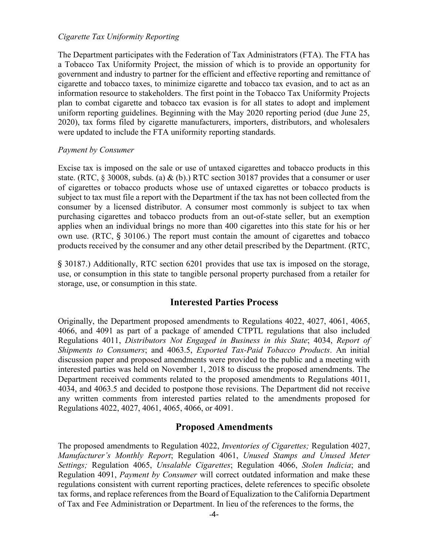### *Cigarette Tax Uniformity Reporting*

The Department participates with the Federation of Tax Administrators (FTA). The FTA has a Tobacco Tax Uniformity Project, the mission of which is to provide an opportunity for government and industry to partner for the efficient and effective reporting and remittance of cigarette and tobacco taxes, to minimize cigarette and tobacco tax evasion, and to act as an information resource to stakeholders. The first point in the Tobacco Tax Uniformity Projects plan to combat cigarette and tobacco tax evasion is for all states to adopt and implement uniform reporting guidelines. Beginning with the May 2020 reporting period (due June 25, 2020), tax forms filed by cigarette manufacturers, importers, distributors, and wholesalers were updated to include the FTA uniformity reporting standards.

### *Payment by Consumer*

Excise tax is imposed on the sale or use of untaxed cigarettes and tobacco products in this state. (RTC,  $\S$  30008, subds. (a) & (b).) RTC section 30187 provides that a consumer or user of cigarettes or tobacco products whose use of untaxed cigarettes or tobacco products is subject to tax must file a report with the Department if the tax has not been collected from the consumer by a licensed distributor. A consumer most commonly is subject to tax when purchasing cigarettes and tobacco products from an out-of-state seller, but an exemption applies when an individual brings no more than 400 cigarettes into this state for his or her own use. (RTC, § 30106.) The report must contain the amount of cigarettes and tobacco products received by the consumer and any other detail prescribed by the Department. (RTC,

§ 30187.) Additionally, RTC section 6201 provides that use tax is imposed on the storage, use, or consumption in this state to tangible personal property purchased from a retailer for storage, use, or consumption in this state.

# **Interested Parties Process**

Originally, the Department proposed amendments to Regulations 4022, 4027, 4061, 4065, 4066, and 4091 as part of a package of amended CTPTL regulations that also included Regulations 4011, *Distributors Not Engaged in Business in this State*; 4034, *Report of Shipments to Consumers*; and 4063.5, *Exported Tax-Paid Tobacco Products*. An initial discussion paper and proposed amendments were provided to the public and a meeting with interested parties was held on November 1, 2018 to discuss the proposed amendments. The Department received comments related to the proposed amendments to Regulations 4011, 4034, and 4063.5 and decided to postpone those revisions. The Department did not receive any written comments from interested parties related to the amendments proposed for Regulations 4022, 4027, 4061, 4065, 4066, or 4091.

# **Proposed Amendments**

The proposed amendments to Regulation 4022, *Inventories of Cigarettes;* Regulation 4027, *Manufacturer's Monthly Report*; Regulation 4061, *Unused Stamps and Unused Meter Settings;* Regulation 4065, *Unsalable Cigarettes*; Regulation 4066, *Stolen Indicia*; and Regulation 4091, *Payment by Consumer* will correct outdated information and make these regulations consistent with current reporting practices, delete references to specific obsolete tax forms, and replace references from the Board of Equalization to the California Department of Tax and Fee Administration or Department. In lieu of the references to the forms, the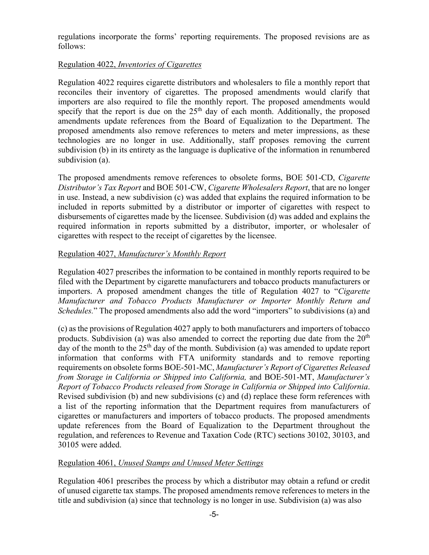regulations incorporate the forms' reporting requirements. The proposed revisions are as follows:

# Regulation 4022, *Inventories of Cigarettes*

Regulation 4022 requires cigarette distributors and wholesalers to file a monthly report that reconciles their inventory of cigarettes. The proposed amendments would clarify that importers are also required to file the monthly report. The proposed amendments would specify that the report is due on the  $25<sup>th</sup>$  day of each month. Additionally, the proposed amendments update references from the Board of Equalization to the Department. The proposed amendments also remove references to meters and meter impressions, as these technologies are no longer in use. Additionally, staff proposes removing the current subdivision (b) in its entirety as the language is duplicative of the information in renumbered subdivision (a).

The proposed amendments remove references to obsolete forms, BOE 501-CD, *Cigarette Distributor's Tax Report* and BOE 501-CW, *Cigarette Wholesalers Report*, that are no longer in use. Instead, a new subdivision (c) was added that explains the required information to be included in reports submitted by a distributor or importer of cigarettes with respect to disbursements of cigarettes made by the licensee. Subdivision (d) was added and explains the required information in reports submitted by a distributor, importer, or wholesaler of cigarettes with respect to the receipt of cigarettes by the licensee.

## Regulation 4027, *Manufacturer's Monthly Report*

Regulation 4027 prescribes the information to be contained in monthly reports required to be filed with the Department by cigarette manufacturers and tobacco products manufacturers or importers. A proposed amendment changes the title of Regulation 4027 to "*Cigarette Manufacturer and Tobacco Products Manufacturer or Importer Monthly Return and Schedules.*" The proposed amendments also add the word "importers" to subdivisions (a) and

(c) as the provisions of Regulation 4027 apply to both manufacturers and importers of tobacco products. Subdivision (a) was also amended to correct the reporting due date from the  $20<sup>th</sup>$ day of the month to the  $25<sup>th</sup>$  day of the month. Subdivision (a) was amended to update report information that conforms with FTA uniformity standards and to remove reporting requirements on obsolete forms BOE-501-MC, *Manufacturer's Report of Cigarettes Released from Storage in California or Shipped into California,* and BOE-501-MT, *Manufacturer's Report of Tobacco Products released from Storage in California or Shipped into California*. Revised subdivision (b) and new subdivisions (c) and (d) replace these form references with a list of the reporting information that the Department requires from manufacturers of cigarettes or manufacturers and importers of tobacco products. The proposed amendments update references from the Board of Equalization to the Department throughout the regulation, and references to Revenue and Taxation Code (RTC) sections 30102, 30103, and 30105 were added.

### Regulation 4061, *Unused Stamps and Unused Meter Settings*

Regulation 4061 prescribes the process by which a distributor may obtain a refund or credit of unused cigarette tax stamps. The proposed amendments remove references to meters in the title and subdivision (a) since that technology is no longer in use. Subdivision (a) was also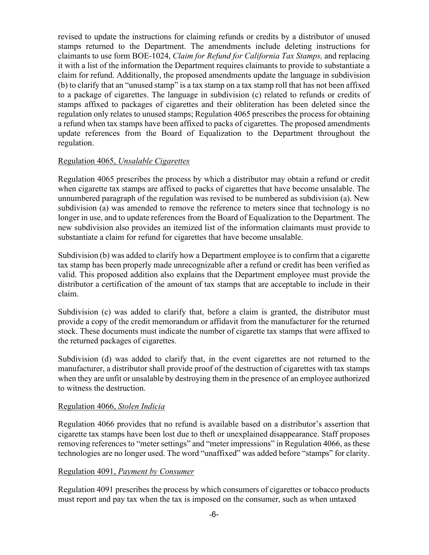revised to update the instructions for claiming refunds or credits by a distributor of unused stamps returned to the Department. The amendments include deleting instructions for claimants to use form BOE-1024, *Claim for Refund for California Tax Stamps,* and replacing it with a list of the information the Department requires claimants to provide to substantiate a claim for refund. Additionally, the proposed amendments update the language in subdivision (b) to clarify that an "unused stamp" is a tax stamp on a tax stamp roll that has not been affixed to a package of cigarettes. The language in subdivision (c) related to refunds or credits of stamps affixed to packages of cigarettes and their obliteration has been deleted since the regulation only relates to unused stamps; Regulation 4065 prescribes the process for obtaining a refund when tax stamps have been affixed to packs of cigarettes. The proposed amendments update references from the Board of Equalization to the Department throughout the regulation.

## Regulation 4065, *Unsalable Cigarettes*

Regulation 4065 prescribes the process by which a distributor may obtain a refund or credit when cigarette tax stamps are affixed to packs of cigarettes that have become unsalable. The unnumbered paragraph of the regulation was revised to be numbered as subdivision (a). New subdivision (a) was amended to remove the reference to meters since that technology is no longer in use, and to update references from the Board of Equalization to the Department. The new subdivision also provides an itemized list of the information claimants must provide to substantiate a claim for refund for cigarettes that have become unsalable.

Subdivision (b) was added to clarify how a Department employee is to confirm that a cigarette tax stamp has been properly made unrecognizable after a refund or credit has been verified as valid. This proposed addition also explains that the Department employee must provide the distributor a certification of the amount of tax stamps that are acceptable to include in their claim.

Subdivision (c) was added to clarify that, before a claim is granted, the distributor must provide a copy of the credit memorandum or affidavit from the manufacturer for the returned stock. These documents must indicate the number of cigarette tax stamps that were affixed to the returned packages of cigarettes.

Subdivision (d) was added to clarify that, in the event cigarettes are not returned to the manufacturer, a distributor shall provide proof of the destruction of cigarettes with tax stamps when they are unfit or unsalable by destroying them in the presence of an employee authorized to witness the destruction.

# Regulation 4066, *Stolen Indicia*

Regulation 4066 provides that no refund is available based on a distributor's assertion that cigarette tax stamps have been lost due to theft or unexplained disappearance. Staff proposes removing references to "meter settings" and "meter impressions" in Regulation 4066, as these technologies are no longer used. The word "unaffixed" was added before "stamps" for clarity.

# Regulation 4091, *Payment by Consumer*

Regulation 4091 prescribes the process by which consumers of cigarettes or tobacco products must report and pay tax when the tax is imposed on the consumer, such as when untaxed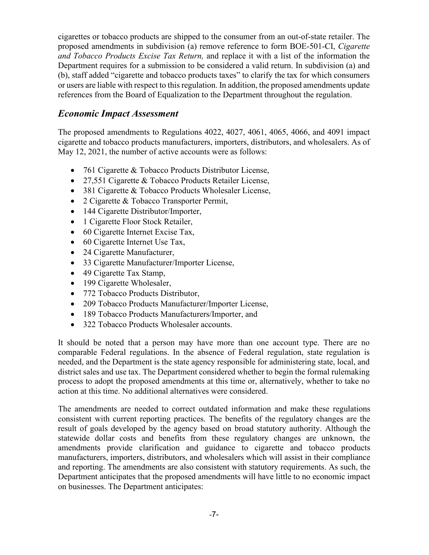cigarettes or tobacco products are shipped to the consumer from an out-of-state retailer. The proposed amendments in subdivision (a) remove reference to form BOE-501-CI, *Cigarette and Tobacco Products Excise Tax Return,* and replace it with a list of the information the Department requires for a submission to be considered a valid return. In subdivision (a) and (b), staff added "cigarette and tobacco products taxes" to clarify the tax for which consumers or users are liable with respect to this regulation. In addition, the proposed amendments update references from the Board of Equalization to the Department throughout the regulation.

# *Economic Impact Assessment*

The proposed amendments to Regulations 4022, 4027, 4061, 4065, 4066, and 4091 impact cigarette and tobacco products manufacturers, importers, distributors, and wholesalers. As of May 12, 2021, the number of active accounts were as follows:

- 761 Cigarette & Tobacco Products Distributor License,
- 27,551 Cigarette & Tobacco Products Retailer License,
- 381 Cigarette & Tobacco Products Wholesaler License,
- 2 Cigarette & Tobacco Transporter Permit,
- 144 Cigarette Distributor/Importer,
- 1 Cigarette Floor Stock Retailer,
- 60 Cigarette Internet Excise Tax,
- 60 Cigarette Internet Use Tax,
- 24 Cigarette Manufacturer,
- 33 Cigarette Manufacturer/Importer License,
- 49 Cigarette Tax Stamp,
- 199 Cigarette Wholesaler,
- 772 Tobacco Products Distributor,
- 209 Tobacco Products Manufacturer/Importer License,
- 189 Tobacco Products Manufacturers/Importer, and
- 322 Tobacco Products Wholesaler accounts.

It should be noted that a person may have more than one account type. There are no comparable Federal regulations. In the absence of Federal regulation, state regulation is needed, and the Department is the state agency responsible for administering state, local, and district sales and use tax. The Department considered whether to begin the formal rulemaking process to adopt the proposed amendments at this time or, alternatively, whether to take no action at this time. No additional alternatives were considered.

The amendments are needed to correct outdated information and make these regulations consistent with current reporting practices. The benefits of the regulatory changes are the result of goals developed by the agency based on broad statutory authority. Although the statewide dollar costs and benefits from these regulatory changes are unknown, the amendments provide clarification and guidance to cigarette and tobacco products manufacturers, importers, distributors, and wholesalers which will assist in their compliance and reporting. The amendments are also consistent with statutory requirements. As such, the Department anticipates that the proposed amendments will have little to no economic impact on businesses. The Department anticipates: